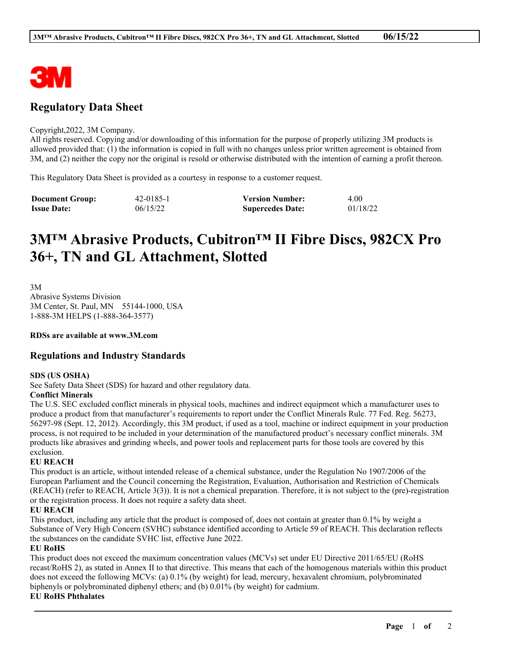

# **Regulatory Data Sheet**

#### Copyright,2022, 3M Company.

All rights reserved. Copying and/or downloading of this information for the purpose of properly utilizing 3M products is allowed provided that: (1) the information is copied in full with no changes unless prior written agreement is obtained from 3M, and (2) neither the copy nor the original is resold or otherwise distributed with the intention of earning a profit thereon.

This Regulatory Data Sheet is provided as a courtesy in response to a customer request.

| <b>Document Group:</b> | 42-0185-1 | <b>Version Number:</b>  | 4.00     |
|------------------------|-----------|-------------------------|----------|
| <b>Issue Date:</b>     | 06/15/22  | <b>Supercedes Date:</b> | 01/18/22 |

# **3M™ Abrasive Products, Cubitron™ II Fibre Discs, 982CX Pro 36+, TN and GL Attachment, Slotted**

3M Abrasive Systems Division 3M Center, St. Paul, MN 55144-1000, USA 1-888-3M HELPS (1-888-364-3577)

**RDSs are available at www.3M.com**

# **Regulations and Industry Standards**

#### **SDS (US OSHA)**

See Safety Data Sheet (SDS) for hazard and other regulatory data.

#### **Conflict Minerals**

The U.S. SEC excluded conflict minerals in physical tools, machines and indirect equipment which a manufacturer uses to produce a product from that manufacturer's requirements to report under the Conflict Minerals Rule. 77 Fed. Reg. 56273, 56297-98 (Sept. 12, 2012). Accordingly, this 3M product, if used as a tool, machine or indirect equipment in your production process, is not required to be included in your determination of the manufactured product's necessary conflict minerals. 3M products like abrasives and grinding wheels, and power tools and replacement parts for those tools are covered by this exclusion.

#### **EU REACH**

This product is an article, without intended release of a chemical substance, under the Regulation No 1907/2006 of the European Parliament and the Council concerning the Registration, Evaluation, Authorisation and Restriction of Chemicals (REACH) (refer to REACH, Article 3(3)). It is not a chemical preparation. Therefore, it is not subject to the (pre)-registration or the registration process. It does not require a safety data sheet.

## **EU REACH**

This product, including any article that the product is composed of, does not contain at greater than 0.1% by weight a Substance of Very High Concern (SVHC) substance identified according to Article 59 of REACH. This declaration reflects the substances on the candidate SVHC list, effective June 2022.

#### **EU RoHS**

This product does not exceed the maximum concentration values (MCVs) set under EU Directive 2011/65/EU (RoHS recast/RoHS 2), as stated in Annex II to that directive. This means that each of the homogenous materials within this product does not exceed the following MCVs: (a) 0.1% (by weight) for lead, mercury, hexavalent chromium, polybrominated biphenyls or polybrominated diphenyl ethers; and (b) 0.01% (by weight) for cadmium.

\_\_\_\_\_\_\_\_\_\_\_\_\_\_\_\_\_\_\_\_\_\_\_\_\_\_\_\_\_\_\_\_\_\_\_\_\_\_\_\_\_\_\_\_\_\_\_\_\_\_\_\_\_\_\_\_\_\_\_\_\_\_\_\_\_\_\_\_\_\_\_\_\_\_\_\_\_\_\_\_\_\_\_\_\_\_\_\_\_\_

## **EU RoHS Phthalates**